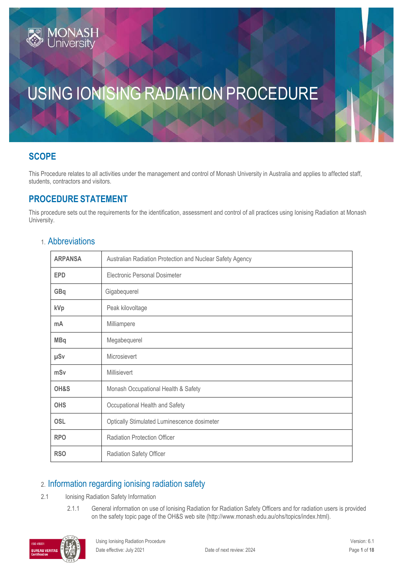# **SCOPE**

This Procedure relates to all activities under the management and control of Monash University in Australia and applies to affected staff, students, contractors and visitors.

# **PROCEDURE STATEMENT**

This procedure sets out the requirements for the identification, assessment and control of all practices using Ionising Radiation at Monash University.

|  |  |  |  | 1. Abbreviations |
|--|--|--|--|------------------|
|  |  |  |  |                  |

| <b>ARPANSA</b> | Australian Radiation Protection and Nuclear Safety Agency |
|----------------|-----------------------------------------------------------|
| <b>EPD</b>     | Electronic Personal Dosimeter                             |
| GBq            | Gigabequerel                                              |
| kVp            | Peak kilovoltage                                          |
| mA             | Milliampere                                               |
| <b>MBq</b>     | Megabequerel                                              |
| µSv            | Microsievert                                              |
| mSv            | Millisievert                                              |
| OH&S           | Monash Occupational Health & Safety                       |
| <b>OHS</b>     | Occupational Health and Safety                            |
| <b>OSL</b>     | Optically Stimulated Luminescence dosimeter               |
| <b>RPO</b>     | <b>Radiation Protection Officer</b>                       |
| <b>RSO</b>     | Radiation Safety Officer                                  |

# 2. Information regarding ionising radiation safety

- 2.1 Ionising Radiation Safety Information
	- 2.1.1 General information on use of Ionising Radiation for Radiation Safety Officers and for radiation users is provided on the safety topic page of the OH&S web site (http://www.monash.edu.au/ohs/topics/index.html).

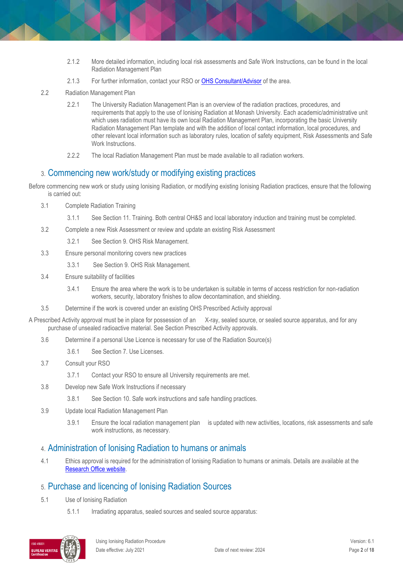- 2.1.2 More detailed information, including local risk assessments and Safe Work Instructions, can be found in the local Radiation Management Plan
- 2.1.3 For further information, contact your RSO o[r OHS Consultant/Advisor](https://www.monash.edu/ohs/AboutUs) of the area.
- 2.2 Radiation Management Plan
	- 2.2.1 The University Radiation Management Plan is an overview of the radiation practices, procedures, and requirements that apply to the use of Ionising Radiation at Monash University. Each academic/administrative unit which uses radiation must have its own local Radiation Management Plan, incorporating the basic University Radiation Management Plan template and with the addition of local contact information, local procedures, and other relevant local information such as laboratory rules, location of safety equipment, Risk Assessments and Safe Work Instructions.
	- 2.2.2 The local Radiation Management Plan must be made available to all radiation workers.

### 3. Commencing new work/study or modifying existing practices

Before commencing new work or study using Ionising Radiation, or modifying existing Ionising Radiation practices, ensure that the following is carried out:

- 3.1 Complete Radiation Training
	- 3.1.1 See Section 11. Training. Both central OH&S and local laboratory induction and training must be completed.
- 3.2 Complete a new Risk Assessment or review and update an existing Risk Assessment
	- 3.2.1 See Section 9. OHS Risk Management.
- 3.3 Ensure personal monitoring covers new practices
	- 3.3.1 See Section 9. OHS Risk Management.
- 3.4 Ensure suitability of facilities
	- 3.4.1 Ensure the area where the work is to be undertaken is suitable in terms of access restriction for non-radiation workers, security, laboratory finishes to allow decontamination, and shielding.
- 3.5 Determine if the work is covered under an existing OHS Prescribed Activity approval

A Prescribed Activity approval must be in place for possession of an X-ray, sealed source, or sealed source apparatus, and for any purchase of unsealed radioactive material. See Section Prescribed Activity approvals.

- 3.6 Determine if a personal Use Licence is necessary for use of the Radiation Source(s)
	- 3.6.1 See Section 7. Use Licenses.
- 3.7 Consult your RSO
	- 3.7.1 Contact your RSO to ensure all University requirements are met.
- 3.8 Develop new Safe Work Instructions if necessary
	- 3.8.1 See Section 10. Safe work instructions and safe handling practices.
- 3.9 Update local Radiation Management Plan
	- 3.9.1 Ensure the local radiation management plan is updated with new activities, locations, risk assessments and safe work instructions, as necessary.

### 4. Administration of Ionising Radiation to humans or animals

4.1 Ethics approval is required for the administration of Ionising Radiation to humans or animals. Details are available at the [Research Office website.](http://www.monash.edu.au/researchoffice/ethics.php)

## 5. Purchase and licencing of Ionising Radiation Sources

- 5.1 Use of Ionising Radiation
	- 5.1.1 Irradiating apparatus, sealed sources and sealed source apparatus:

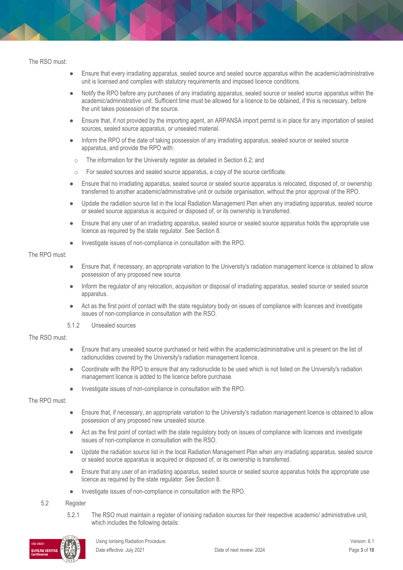The RSO must:

- Ensure that every irradiating apparatus, sealed source and sealed source apparatus within the academic/administrative unit is licensed and complies with statutory requirements and imposed licence conditions.
- Notify the RPO before any purchases of any irradiating apparatus, sealed source or sealed source apparatus within the academic/administrative unit. Sufficient time must be allowed for a licence to be obtained, if this is necessary, before the unit takes possession of the source.
- Ensure that, if not provided by the importing agent, an ARPANSA import permit is in place for any importation of sealed sources, sealed source apparatus, or unsealed material.
- Inform the RPO of the date of taking possession of any irradiating apparatus, sealed source or sealed source apparatus, and provide the RPO with:
- o The information for the University register as detailed in Section 6.2; and
- o For sealed sources and sealed source apparatus, a copy of the source certificate.
- Ensure that no irradiating apparatus, sealed source or sealed source apparatus is relocated, disposed of, or ownership transferred to another academic/administrative unit or outside organisation, without the prior approval of the RPO.
- Update the radiation source list in the local Radiation Management Plan when any irradiating apparatus, sealed source or sealed source apparatus is acquired or disposed of, or its ownership is transferred.
- Ensure that any user of an irradiating apparatus, sealed source or sealed source apparatus holds the appropriate use licence as required by the state regulator. See Section 8.
- Investigate issues of non-compliance in consultation with the RPO.

#### The RPO must:

- Ensure that, if necessary, an appropriate variation to the University's radiation management licence is obtained to allow possession of any proposed new source.
- Inform the regulator of any relocation, acquisition or disposal of irradiating apparatus, sealed source or sealed source apparatus.
- Act as the first point of contact with the state regulatory body on issues of compliance with licences and investigate issues of non-compliance in consultation with the RSO.
- 5.1.2 Unsealed sources

#### The RSO must:

- Ensure that any unsealed source purchased or held within the academic/administrative unit is present on the list of radionuclides covered by the University's radiation management licence.
- Coordinate with the RPO to ensure that any radionuclide to be used which is not listed on the University's radiation management licence is added to the licence before purchase.
- Investigate issues of non-compliance in consultation with the RPO.

#### The RPO must:

- Ensure that, if necessary, an appropriate variation to the University's radiation management licence is obtained to allow possession of any proposed new unsealed source.
- Act as the first point of contact with the state regulatory body on issues of compliance with licences and investigate issues of non-compliance in consultation with the RSO.
- Update the radiation source list in the local Radiation Management Plan when any irradiating apparatus, sealed source or sealed source apparatus is acquired or disposed of, or its ownership is transferred.
- Ensure that any user of an irradiating apparatus, sealed source or sealed source apparatus holds the appropriate use licence as required by the state regulator. See Section 8.
- Investigate issues of non-compliance in consultation with the RPO.

#### 5.2 Register

5.2.1 The RSO must maintain a register of ionising radiation sources for their respective academic/ administrative unit, which includes the following details:

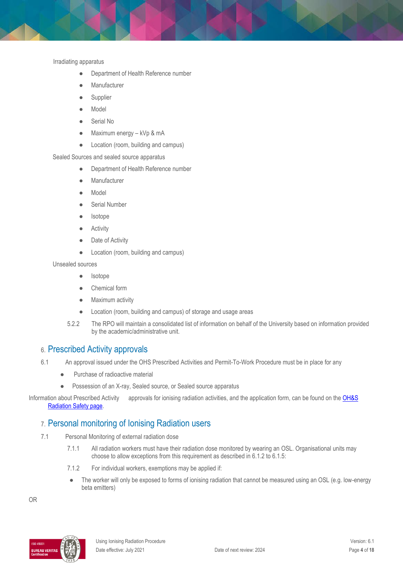Irradiating apparatus

- Department of Health Reference number
- Manufacturer
- Supplier
- Model
- Serial No
- Maximum energy kVp & mA
- Location (room, building and campus)

Sealed Sources and sealed source apparatus

- Department of Health Reference number
- Manufacturer
- Model
- Serial Number
- **Isotope**
- **Activity**
- Date of Activity
- Location (room, building and campus)

Unsealed sources

- Isotope
- Chemical form
- Maximum activity
- Location (room, building and campus) of storage and usage areas
- 5.2.2 The RPO will maintain a consolidated list of information on behalf of the University based on information provided by the academic/administrative unit.

### 6. Prescribed Activity approvals

- 6.1 An approval issued under the OHS Prescribed Activities and Permit-To-Work Procedure must be in place for any
	- Purchase of radioactive material
	- Possession of an X-ray, Sealed source, or Sealed source apparatus

Information about Prescribed Activity approvals for ionising radiation activities, and the application form, can be found on the OH&S [Radiation Safety page.](https://www.monash.edu/ohs/info-docs/safety-topics/radiation-safety)

### 7. Personal monitoring of Ionising Radiation users

- 7.1 Personal Monitoring of external radiation dose
	- 7.1.1 All radiation workers must have their radiation dose monitored by wearing an OSL. Organisational units may choose to allow exceptions from this requirement as described in 6.1.2 to 6.1.5:
	- 7.1.2 For individual workers, exemptions may be applied if:
	- The worker will only be exposed to forms of ionising radiation that cannot be measured using an OSL (e.g. low-energy beta emitters)

OR

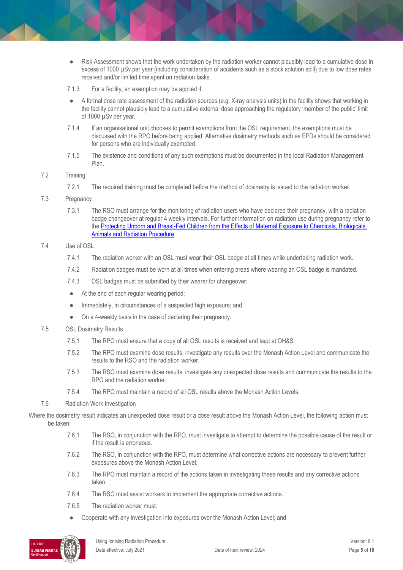- Risk Assessment shows that the work undertaken by the radiation worker cannot plausibly lead to a cumulative dose in excess of 1000 µSv per year (including consideration of accidents such as a stock solution spill) due to low dose rates received and/or limited time spent on radiation tasks.
- 7.1.3 For a facility, an exemption may be applied if:
- A formal dose rate assessment of the radiation sources (e.g. X-ray analysis units) in the facility shows that working in the facility cannot plausibly lead to a cumulative external dose approaching the regulatory 'member of the public' limit of 1000 µSv per year.
- 7.1.4 If an organisational unit chooses to permit exemptions from the OSL requirement, the exemptions must be discussed with the RPO before being applied. Alternative dosimetry methods such as EPDs should be considered for persons who are individually exempted.
- 7.1.5 The existence and conditions of any such exemptions must be documented in the local Radiation Management Plan.

#### 7.2 Training

- 7.2.1 The required training must be completed before the method of dosimetry is issued to the radiation worker.
- 7.3 Pregnancy
	- 7.3.1 The RSO must arrange for the monitoring of radiation users who have declared their pregnancy, with a radiation badge changeover at regular 4 weekly intervals. For further information on radiation use during pregnancy refer to the [Protecting Unborn and Breast-Fed Children from the Effects of Maternal Exposure to Chemicals, Biologicals,](https://publicpolicydms.monash.edu/Monash/documents/1935638)  [Animals and Radiation Procedure.](https://publicpolicydms.monash.edu/Monash/documents/1935638)
- 7.4 Use of OSL
	- 7.4.1 The radiation worker with an OSL must wear their OSL badge at all times while undertaking radiation work.
	- 7.4.2 Radiation badges must be worn at all times when entering areas where wearing an OSL badge is mandated.
	- 7.4.3 OSL badges must be submitted by their wearer for changeover:
	- At the end of each regular wearing period;
	- Immediately, in circumstances of a suspected high exposure; and
	- On a 4-weekly basis in the case of declaring their pregnancy.
- 7.5 OSL Dosimetry Results
	- 7.5.1 The RPO must ensure that a copy of all OSL results is received and kept at OH&S.
	- 7.5.2 The RPO must examine dose results, investigate any results over the Monash Action Level and communicate the results to the RSO and the radiation worker.
	- 7.5.3 The RSO must examine dose results, investigate any unexpected dose results and communicate the results to the RPO and the radiation worker.
	- 7.5.4 The RPO must maintain a record of all OSL results above the Monash Action Levels.
- 7.6 Radiation Work Investigation

Where the dosimetry result indicates an unexpected dose result or a dose result above the Monash Action Level, the following action must be taken:

- 7.6.1 The RSO, in conjunction with the RPO, must investigate to attempt to determine the possible cause of the result or if the result is erroneous.
- 7.6.2 The RSO, in conjunction with the RPO, must determine what corrective actions are necessary to prevent further exposures above the Monash Action Level.
- 7.6.3 The RPO must maintain a record of the actions taken in investigating these results and any corrective actions taken.
- 7.6.4 The RSO must assist workers to implement the appropriate corrective actions.
- 7.6.5 The radiation worker must:
- Cooperate with any investigation into exposures over the Monash Action Level; and

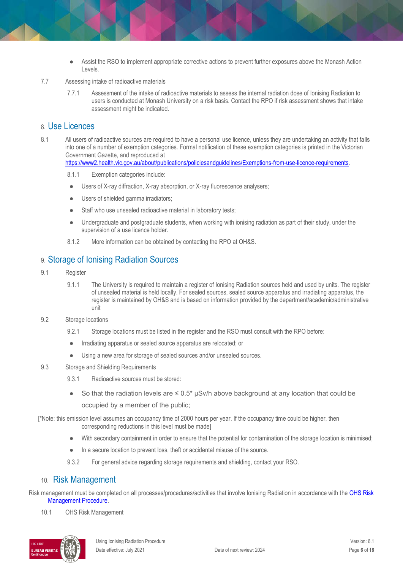- Assist the RSO to implement appropriate corrective actions to prevent further exposures above the Monash Action Levels.
- 7.7 Assessing intake of radioactive materials
	- 7.7.1 Assessment of the intake of radioactive materials to assess the internal radiation dose of Ionising Radiation to users is conducted at Monash University on a risk basis. Contact the RPO if risk assessment shows that intake assessment might be indicated.

#### 8. Use Licences

- 8.1 All users of radioactive sources are required to have a personal use licence, unless they are undertaking an activity that falls into one of a number of exemption categories. Formal notification of these exemption categories is printed in the Victorian Government Gazette, and reproduced at [https://www2.health.vic.gov.au/about/publications/policiesandguidelines/Exemptions-from-use-licence-requirements.](https://www2.health.vic.gov.au/about/publications/policiesandguidelines/Exemptions-from-use-licence-requirements)
	- 8.1.1 Exemption categories include:
	- Users of X-ray diffraction, X-ray absorption, or X-ray fluorescence analysers;
	- Users of shielded gamma irradiators;
	- Staff who use unsealed radioactive material in laboratory tests;
	- Undergraduate and postgraduate students, when working with ionising radiation as part of their study, under the supervision of a use licence holder.
	- 8.1.2 More information can be obtained by contacting the RPO at OH&S.

### 9. Storage of Ionising Radiation Sources

- 9.1 Register
	- 9.1.1 The University is required to maintain a register of Ionising Radiation sources held and used by units. The register of unsealed material is held locally. For sealed sources, sealed source apparatus and irradiating apparatus, the register is maintained by OH&S and is based on information provided by the department/academic/administrative unit
- 9.2 Storage locations
	- 9.2.1 Storage locations must be listed in the register and the RSO must consult with the RPO before:
	- Irradiating apparatus or sealed source apparatus are relocated; or
	- Using a new area for storage of sealed sources and/or unsealed sources.
- 9.3 Storage and Shielding Requirements
	- 9.3.1 Radioactive sources must be stored:
	- So that the radiation levels are  $\leq 0.5^*$  µSv/h above background at any location that could be occupied by a member of the public;

[\*Note: this emission level assumes an occupancy time of 2000 hours per year. If the occupancy time could be higher, then corresponding reductions in this level must be made]

- With secondary containment in order to ensure that the potential for contamination of the storage location is minimised;
- In a secure location to prevent loss, theft or accidental misuse of the source.
- 9.3.2 For general advice regarding storage requirements and shielding, contact your RSO.

### 10. Risk Management

Risk management must be completed on all processes/procedures/activities that involve Ionising Radiation in accordance with the OHS Risk [Management Procedure.](https://publicpolicydms.monash.edu/Monash/documents/1935636)

10.1 OHS Risk Management

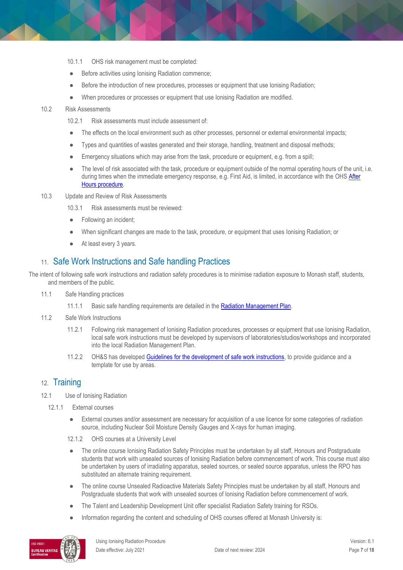- 10.1.1 OHS risk management must be completed:
- Before activities using Ionising Radiation commence;
- Before the introduction of new procedures, processes or equipment that use Ionising Radiation;
- When procedures or processes or equipment that use Ionising Radiation are modified.

#### 10.2 Risk Assessments

10.2.1 Risk assessments must include assessment of:

- The effects on the local environment such as other processes, personnel or external environmental impacts;
- Types and quantities of wastes generated and their storage, handling, treatment and disposal methods;
- Emergency situations which may arise from the task, procedure or equipment, e.g. from a spill;
- The level of risk associated with the task, procedure or equipment outside of the normal operating hours of the unit, i.e. during times when the immediate emergency response, e.g. First Aid, is limited, in accordance with the OHS After [Hours procedure.](https://publicpolicydms.monash.edu/Monash/documents/1935601)
- 10.3 Update and Review of Risk Assessments
	- 10.3.1 Risk assessments must be reviewed:
	- Following an incident:
	- When significant changes are made to the task, procedure, or equipment that uses Ionising Radiation; or
	- At least every 3 years.

### 11. Safe Work Instructions and Safe handling Practices

The intent of following safe work instructions and radiation safety procedures is to minimise radiation exposure to Monash staff, students, and members of the public.

- 11.1 Safe Handling practices
	- 11.1.1 Basic safe handling requirements are detailed in the [Radiation Management Plan.](https://www.monash.edu/__data/assets/word_doc/0011/1097984/radiation-plan.docx)
- 11.2 Safe Work Instructions
	- 11.2.1 Following risk management of Ionising Radiation procedures, processes or equipment that use Ionising Radiation, local safe work instructions must be developed by supervisors of laboratories/studios/workshops and incorporated into the local Radiation Management Plan.
	- 11.2.2 OH&S has develope[d Guidelines for the development of safe work instructions,](https://www.monash.edu/__data/assets/pdf_file/0008/147059/safe-work-instructions.pdf) to provide guidance and a template for use by areas.

### 12. Training

- 12.1 Use of Ionising Radiation
	- 12.1.1 External courses
		- External courses and/or assessment are necessary for acquisition of a use licence for some categories of radiation source, including Nuclear Soil Moisture Density Gauges and X-rays for human imaging.
		- 12.1.2 OHS courses at a University Level
		- The online course Ionising Radiation Safety Principles must be undertaken by all staff, Honours and Postgraduate students that work with unsealed sources of Ionising Radiation before commencement of work. This course must also be undertaken by users of irradiating apparatus, sealed sources, or sealed source apparatus, unless the RPO has substituted an alternate training requirement.
		- The online course Unsealed Radioactive Materials Safety Principles must be undertaken by all staff, Honours and Postgraduate students that work with unsealed sources of Ionising Radiation before commencement of work.
		- The Talent and Leadership Development Unit offer specialist Radiation Safety training for RSOs.
		- Information regarding the content and scheduling of OHS courses offered at Monash University is:

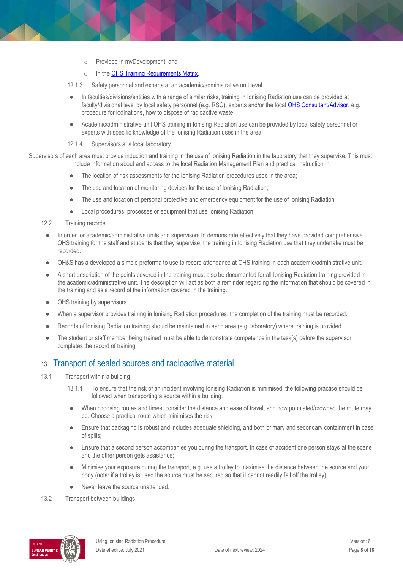- o Provided in myDevelopment; and
- o In th[e OHS Training Requirements Matrix.](http://www.monash.edu/__data/assets/pdf_file/0004/496030/ohs-training-guide.pdf)
- 12.1.3 Safety personnel and experts at an academic/administrative unit level
- In faculties/divisions/entities with a range of similar risks, training in Ionising Radiation use can be provided at faculty/divisional level by local safety personnel (e.g. RSO), experts and/or the loca[l OHS Consultant/Advisor,](https://www.monash.edu/ohs/AboutUs) e.g. procedure for iodinations, how to dispose of radioactive waste.
- Academic/administrative unit OHS training in Ionising Radiation use can be provided by local safety personnel or experts with specific knowledge of the Ionising Radiation uses in the area.

#### 12.1.4 Supervisors at a local laboratory

Supervisors of each area must provide induction and training in the use of Ionising Radiation in the laboratory that they supervise. This must include information about and access to the local Radiation Management Plan and practical instruction in:

- The location of risk assessments for the Ionising Radiation procedures used in the area;
- The use and location of monitoring devices for the use of Ionising Radiation;
- The use and location of personal protective and emergency equipment for the use of Ionising Radiation;
- Local procedures, processes or equipment that use Ionising Radiation.
- 12.2 Training records
- In order for academic/administrative units and supervisors to demonstrate effectively that they have provided comprehensive OHS training for the staff and students that they supervise, the training in Ionising Radiation use that they undertake must be recorded.
- OH&S has a developed a simple proforma to use to record attendance at OHS training in each academic/administrative unit.
- A short description of the points covered in the training must also be documented for all lonising Radiation training provided in the academic/administrative unit. The description will act as both a reminder regarding the information that should be covered in the training and as a record of the information covered in the training.
- OHS training by supervisors
- When a supervisor provides training in Ionising Radiation procedures, the completion of the training must be recorded.
- Records of Ionising Radiation training should be maintained in each area (e.g. laboratory) where training is provided.
- The student or staff member being trained must be able to demonstrate competence in the task(s) before the supervisor completes the record of training.

## 13. Transport of sealed sources and radioactive material

- 13.1 Transport within a building
	- 13.1.1 To ensure that the risk of an incident involving Ionising Radiation is minimised, the following practice should be followed when transporting a source within a building:
	- When choosing routes and times, consider the distance and ease of travel, and how populated/crowded the route may be. Choose a practical route which minimises the risk;
	- Ensure that packaging is robust and includes adequate shielding, and both primary and secondary containment in case of spills;
	- Ensure that a second person accompanies you during the transport. In case of accident one person stays at the scene and the other person gets assistance;
	- Minimise your exposure during the transport, e.g. use a trolley to maximise the distance between the source and your body (note: if a trolley is used the source must be secured so that it cannot readily fall off the trolley);
	- Never leave the source unattended.
- 13.2 Transport between buildings

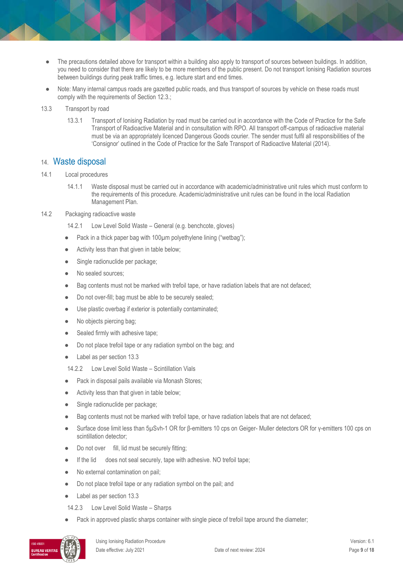- The precautions detailed above for transport within a building also apply to transport of sources between buildings. In addition, you need to consider that there are likely to be more members of the public present. Do not transport Ionising Radiation sources between buildings during peak traffic times, e.g. lecture start and end times.
- Note: Many internal campus roads are gazetted public roads, and thus transport of sources by vehicle on these roads must comply with the requirements of Section 12.3.;
- 13.3 Transport by road
	- 13.3.1 Transport of Ionising Radiation by road must be carried out in accordance with the Code of Practice for the Safe Transport of Radioactive Material and in consultation with RPO. All transport off-campus of radioactive material must be via an appropriately licenced Dangerous Goods courier. The sender must fulfil all responsibilities of the 'Consignor' outlined in the Code of Practice for the Safe Transport of Radioactive Material (2014).

#### 14. Waste disposal

- 14.1 Local procedures
	- 14.1.1 Waste disposal must be carried out in accordance with academic/administrative unit rules which must conform to the requirements of this procedure. Academic/administrative unit rules can be found in the local Radiation Management Plan.

#### 14.2 Packaging radioactive waste

- 14.2.1 Low Level Solid Waste General (e.g. benchcote, gloves)
- Pack in a thick paper bag with 100µm polyethylene lining ("wetbag");
- Activity less than that given in table below;
- Single radionuclide per package;
- No sealed sources;
- Bag contents must not be marked with trefoil tape, or have radiation labels that are not defaced;
- Do not over-fill; bag must be able to be securely sealed;
- Use plastic overbag if exterior is potentially contaminated;
- No objects piercing bag;
- Sealed firmly with adhesive tape;
- Do not place trefoil tape or any radiation symbol on the bag; and
- Label as per section 13.3
- 14.2.2 Low Level Solid Waste Scintillation Vials
- Pack in disposal pails available via Monash Stores;
- Activity less than that given in table below;
- Single radionuclide per package;
- Bag contents must not be marked with trefoil tape, or have radiation labels that are not defaced;
- Surface dose limit less than 5µSvh-1 OR for β-emitters 10 cps on Geiger- Muller detectors OR for γ-emitters 100 cps on scintillation detector;
- Do not over fill, lid must be securely fitting;
- If the lid does not seal securely, tape with adhesive. NO trefoil tape;
- No external contamination on pail;
- Do not place trefoil tape or any radiation symbol on the pail; and
- Label as per section 13.3
- 14.2.3 Low Level Solid Waste Sharps
- Pack in approved plastic sharps container with single piece of trefoil tape around the diameter;

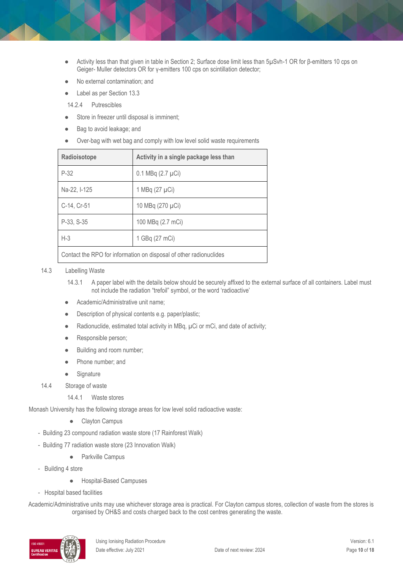- Activity less than that given in table in Section 2; Surface dose limit less than 5μSvh-1 OR for β-emitters 10 cps on Geiger- Muller detectors OR for γ-emitters 100 cps on scintillation detector;
- No external contamination; and
- Label as per Section 13.3
- 14.2.4 Putrescibles
- Store in freezer until disposal is imminent;
- Bag to avoid leakage; and
- Over-bag with wet bag and comply with low level solid waste requirements

| Radioisotope                                                       | Activity in a single package less than |  |
|--------------------------------------------------------------------|----------------------------------------|--|
| $P-32$                                                             | $0.1$ MBq $(2.7 \mu Ci)$               |  |
| Na-22, I-125                                                       | 1 MBq (27 µCi)                         |  |
| C-14, Cr-51                                                        | 10 MBq (270 µCi)                       |  |
| P-33, S-35                                                         | 100 MBq (2.7 mCi)                      |  |
| $H-3$                                                              | 1 GBq (27 mCi)                         |  |
| Contact the RPO for information on disposal of other radionuclides |                                        |  |

#### 14.3 Labelling Waste

- 14.3.1 A paper label with the details below should be securely affixed to the external surface of all containers. Label must not include the radiation "trefoil" symbol, or the word 'radioactive'
- Academic/Administrative unit name:
- Description of physical contents e.g. paper/plastic;
- Radionuclide, estimated total activity in MBq, µCi or mCi, and date of activity;
- Responsible person;
- Building and room number;
- Phone number; and
- Signature
- 14.4 Storage of waste

#### 14.4.1 Waste stores

Monash University has the following storage areas for low level solid radioactive waste:

- Clayton Campus
- Building 23 compound radiation waste store (17 Rainforest Walk)
- Building 77 radiation waste store (23 Innovation Walk)
	- Parkville Campus
- Building 4 store
	- Hospital-Based Campuses
- Hospital based facilities

Academic/Administrative units may use whichever storage area is practical. For Clayton campus stores, collection of waste from the stores is organised by OH&S and costs charged back to the cost centres generating the waste.

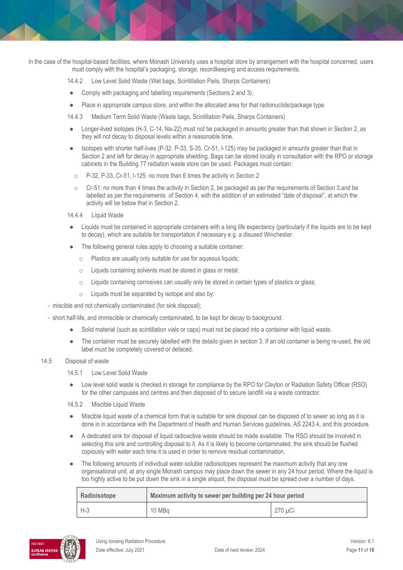In the case of the hospital-based facilities, where Monash University uses a hospital store by arrangement with the hospital concerned, users must comply with the hospital's packaging, storage, recordkeeping and access requirements.

14.4.2 Low Level Solid Waste (Wet bags, Scintillation Pails, Sharps Containers)

- Comply with packaging and labelling requirements (Sections 2 and 3).
- Place in appropriate campus store, and within the allocated area for that radionuclide/package type.

14.4.3 Medium Term Solid Waste (Waste bags, Scintillation Pails, Sharps Containers)

- Longer-lived isotopes (H-3, C-14, Na-22) must not be packaged in amounts greater than that shown in Section 2, as they will not decay to disposal levels within a reasonable time.
- Isotopes with shorter half-lives (P-32. P-33, S-35, Cr-51, I-125) may be packaged in amounts greater than that in Section 2 and left for decay in appropriate shielding. Bags can be stored locally in consultation with the RPO or storage cabinets in the Building 77 radiation waste store can be used. Packages must contain:
	- o P-32, P-33, Cr-51, I-125: no more than 6 times the activity in Section 2
	- $\circ$  Cr-51: no more than 4 times the activity in Section 2, be packaged as per the requirements of Section 3, and be labelled as per the requirements of Section 4, with the addition of an estimated "date of disposal", at which the activity will be below that in Section 2.
- 14.4.4 Liquid Waste
- Liquids must be contained in appropriate containers with a long life expectancy (particularly if the liquids are to be kept to decay), which are suitable for transportation if necessary e.g. a disused Winchester.
- The following general rules apply to choosing a suitable container:
	- o Plastics are usually only suitable for use for aqueous liquids;
	- o Liquids containing solvents must be stored in glass or metal;
	- o Liquids containing corrosives can usually only be stored in certain types of plastics or glass;
	- o Liquids must be separated by isotope and also by:
- miscible and not chemically contaminated (for sink disposal);
- short half-life, and immiscible or chemically contaminated, to be kept for decay to background.
	- Solid material (such as scintillation vials or caps) must not be placed into a container with liquid waste.
	- The container must be securely labelled with the details given in section 3. If an old container is being re-used, the old label must be completely covered or defaced.

#### 14.5 Disposal of waste

- 14.5.1 Low Level Solid Waste
- Low level solid waste is checked in storage for compliance by the RPO for Clayton or Radiation Safety Officer (RSO) for the other campuses and centres and then disposed of to secure landfill via a waste contractor.

14.5.2 Miscible Liquid Waste

- Miscible liquid waste of a chemical form that is suitable for sink disposal can be disposed of to sewer so long as it is done in in accordance with the Department of Health and Human Services guidelines, AS 2243.4, and this procedure.
- A dedicated sink for disposal of liquid radioactive waste should be made available. The RSO should be involved in selecting this sink and controlling disposal to it. As it is likely to become contaminated, the sink should be flushed copiously with water each time it is used in order to remove residual contamination.
- The following amounts of individual water-soluble radioisotopes represent the maximum activity that any one organisational unit, at any single Monash campus may place down the sewer in any 24 hour period. Where the liquid is too highly active to be put down the sink in a single aliquot, the disposal must be spread over a number of days.

| Radioisotope | Maximum activity to sewer per building per 24 hour period |         |  |
|--------------|-----------------------------------------------------------|---------|--|
| $H-3$        | 10 MBa                                                    | 270 µCi |  |

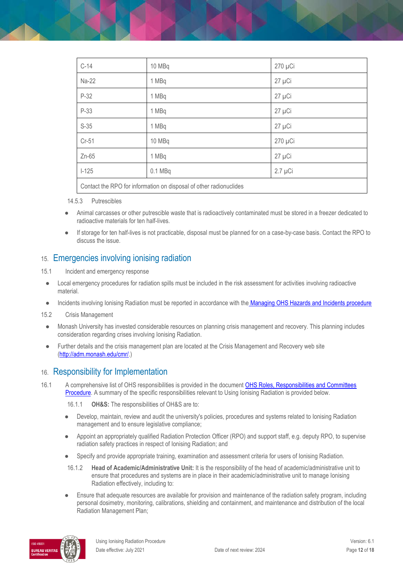| $C-14$                                                             | 10 MBq    | 270 µCi      |  |
|--------------------------------------------------------------------|-----------|--------------|--|
| Na-22                                                              | 1 MBq     | $27 \mu$ Ci  |  |
| $P-32$                                                             | 1 MBq     | 27 µCi       |  |
| P-33                                                               | 1 MBq     | 27 µCi       |  |
| $S-35$                                                             | 1 MBq     | $27 \mu$ Ci  |  |
| Cr-51                                                              | 10 MBq    | 270 µCi      |  |
| $Zn-65$                                                            | 1 MBq     | $27 \mu$ Ci  |  |
| $1 - 125$                                                          | $0.1$ MBq | $2.7 \mu$ Ci |  |
| Contact the RPO for information on disposal of other radionuclides |           |              |  |

14.5.3 Putrescibles

- Animal carcasses or other putrescible waste that is radioactively contaminated must be stored in a freezer dedicated to radioactive materials for ten half-lives.
- If storage for ten half-lives is not practicable, disposal must be planned for on a case-by-case basis. Contact the RPO to discuss the issue.

### 15. Emergencies involving ionising radiation

- 15.1 Incident and emergency response
- Local emergency procedures for radiation spills must be included in the risk assessment for activities involving radioactive material.
- Incidents involving Ionising Radiation must be reported in accordance with the [Managing OHS Hazards and Incidents procedure](https://publicpolicydms.monash.edu/Monash/documents/1935623)
- 15.2 Crisis Management
- Monash University has invested considerable resources on planning crisis management and recovery. This planning includes consideration regarding crises involving Ionising Radiation.
- Further details and the crisis management plan are located at the Crisis Management and Recovery web site [\(http://adm.monash.edu/cmr/.](http://adm.monash.edu/cmr/))

### 16. Responsibility for Implementation

16.1 A comprehensive list of OHS responsibilities is provided in the document OHS Roles, Responsibilities and Committees [Procedure.](https://publicpolicydms.monash.edu/Monash/documents/1935644) A summary of the specific responsibilities relevant to Using Ionising Radiation is provided below.

16.1.1 **OH&S:** The responsibilities of OH&S are to:

- Develop, maintain, review and audit the university's policies, procedures and systems related to Ionising Radiation management and to ensure legislative compliance;
- Appoint an appropriately qualified Radiation Protection Officer (RPO) and support staff, e.g. deputy RPO, to supervise radiation safety practices in respect of Ionising Radiation; and
- Specify and provide appropriate training, examination and assessment criteria for users of Ionising Radiation.
- 16.1.2 **Head of Academic/Administrative Unit:** It is the responsibility of the head of academic/administrative unit to ensure that procedures and systems are in place in their academic/administrative unit to manage Ionising Radiation effectively, including to:
- Ensure that adequate resources are available for provision and maintenance of the radiation safety program, including personal dosimetry, monitoring, calibrations, shielding and containment, and maintenance and distribution of the local Radiation Management Plan;

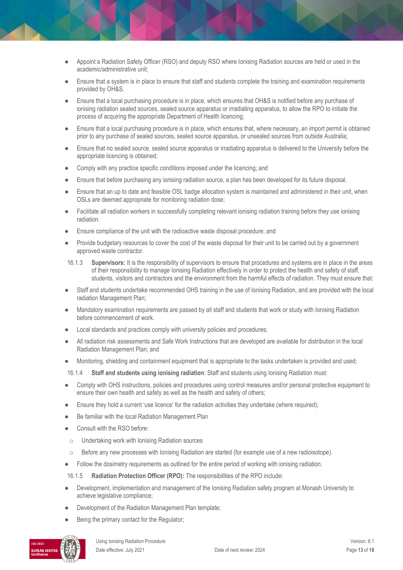- Appoint a Radiation Safety Officer (RSO) and deputy RSO where Ionising Radiation sources are held or used in the academic/administrative unit;
- Ensure that a system is in place to ensure that staff and students complete the training and examination requirements provided by OH&S.
- Ensure that a local purchasing procedure is in place, which ensures that OH&S is notified before any purchase of ionising radiation sealed sources, sealed source apparatus or irradiating apparatus, to allow the RPO to initiate the process of acquiring the appropriate Department of Health licencing;
- Ensure that a local purchasing procedure is in place, which ensures that, where necessary, an import permit is obtained prior to any purchase of sealed sources, sealed source apparatus, or unsealed sources from outside Australia;
- Ensure that no sealed source, sealed source apparatus or irradiating apparatus is delivered to the University before the appropriate licencing is obtained;
- Comply with any practice specific conditions imposed under the licencing; and
- Ensure that before purchasing any ionising radiation source, a plan has been developed for its future disposal.
- Ensure that an up to date and feasible OSL badge allocation system is maintained and administered in their unit, when OSLs are deemed appropriate for monitoring radiation dose;
- Facilitate all radiation workers in successfully completing relevant ionising radiation training before they use ionising radiation.
- Ensure compliance of the unit with the radioactive waste disposal procedure; and
- Provide budgetary resources to cover the cost of the waste disposal for their unit to be carried out by a government approved waste contractor.
- 16.1.3 **Supervisors:** It is the responsibility of supervisors to ensure that procedures and systems are in place in the areas of their responsibility to manage Ionising Radiation effectively in order to protect the health and safety of staff, students, visitors and contractors and the environment from the harmful effects of radiation. They must ensure that:
- Staff and students undertake recommended OHS training in the use of Ionising Radiation, and are provided with the local radiation Management Plan;
- Mandatory examination requirements are passed by all staff and students that work or study with Ionising Radiation before commencement of work.
- Local standards and practices comply with university policies and procedures;
- All radiation risk assessments and Safe Work Instructions that are developed are available for distribution in the local Radiation Management Plan; and
- Monitoring, shielding and containment equipment that is appropriate to the tasks undertaken is provided and used;
- 16.1.4 **Staff and students using ionising radiation**: Staff and students using Ionising Radiation must:
- Comply with OHS instructions, policies and procedures using control measures and/or personal protective equipment to ensure their own health and safety as well as the health and safety of others;
- Ensure they hold a current 'use licence' for the radiation activities they undertake (where required);
- Be familiar with the local Radiation Management Plan
- Consult with the RSO before:
- o Undertaking work with Ionising Radiation sources
- $\circ$  Before any new processes with Ionising Radiation are started (for example use of a new radioisotope).
- Follow the dosimetry requirements as outlined for the entire period of working with ionising radiation.
- 16.1.5 **Radiation Protection Officer (RPO):** The responsibilities of the RPO include:
- Development, implementation and management of the Ionising Radiation safety program at Monash University to achieve legislative compliance;
- Development of the Radiation Management Plan template;
- Being the primary contact for the Regulator;

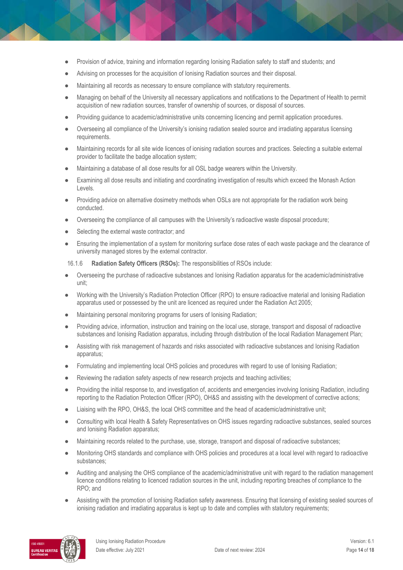- Provision of advice, training and information regarding Ionising Radiation safety to staff and students; and
- Advising on processes for the acquisition of Ionising Radiation sources and their disposal.
- Maintaining all records as necessary to ensure compliance with statutory requirements.
- Managing on behalf of the University all necessary applications and notifications to the Department of Health to permit acquisition of new radiation sources, transfer of ownership of sources, or disposal of sources.
- Providing guidance to academic/administrative units concerning licencing and permit application procedures.
- Overseeing all compliance of the University's ionising radiation sealed source and irradiating apparatus licensing requirements.
- Maintaining records for all site wide licences of ionising radiation sources and practices. Selecting a suitable external provider to facilitate the badge allocation system;
- Maintaining a database of all dose results for all OSL badge wearers within the University.
- Examining all dose results and initiating and coordinating investigation of results which exceed the Monash Action Levels.
- Providing advice on alternative dosimetry methods when OSLs are not appropriate for the radiation work being conducted.
- Overseeing the compliance of all campuses with the University's radioactive waste disposal procedure;
- Selecting the external waste contractor; and
- Ensuring the implementation of a system for monitoring surface dose rates of each waste package and the clearance of university managed stores by the external contractor.

16.1.6 **Radiation Safety Officers (RSOs):** The responsibilities of RSOs include:

- Overseeing the purchase of radioactive substances and Ionising Radiation apparatus for the academic/administrative unit;
- Working with the University's Radiation Protection Officer (RPO) to ensure radioactive material and Ionising Radiation apparatus used or possessed by the unit are licenced as required under the Radiation Act 2005;
- Maintaining personal monitoring programs for users of lonising Radiation;
- Providing advice, information, instruction and training on the local use, storage, transport and disposal of radioactive substances and Ionising Radiation apparatus, including through distribution of the local Radiation Management Plan;
- Assisting with risk management of hazards and risks associated with radioactive substances and Ionising Radiation apparatus;
- Formulating and implementing local OHS policies and procedures with regard to use of Ionising Radiation;
- Reviewing the radiation safety aspects of new research projects and teaching activities;
- Providing the initial response to, and investigation of, accidents and emergencies involving Ionising Radiation, including reporting to the Radiation Protection Officer (RPO), OH&S and assisting with the development of corrective actions;
- Liaising with the RPO, OH&S, the local OHS committee and the head of academic/administrative unit;
- Consulting with local Health & Safety Representatives on OHS issues regarding radioactive substances, sealed sources and Ionising Radiation apparatus;
- Maintaining records related to the purchase, use, storage, transport and disposal of radioactive substances;
- Monitoring OHS standards and compliance with OHS policies and procedures at a local level with regard to radioactive substances;
- Auditing and analysing the OHS compliance of the academic/administrative unit with regard to the radiation management licence conditions relating to licenced radiation sources in the unit, including reporting breaches of compliance to the RPO; and
- Assisting with the promotion of Ionising Radiation safety awareness. Ensuring that licensing of existing sealed sources of ionising radiation and irradiating apparatus is kept up to date and complies with statutory requirements;

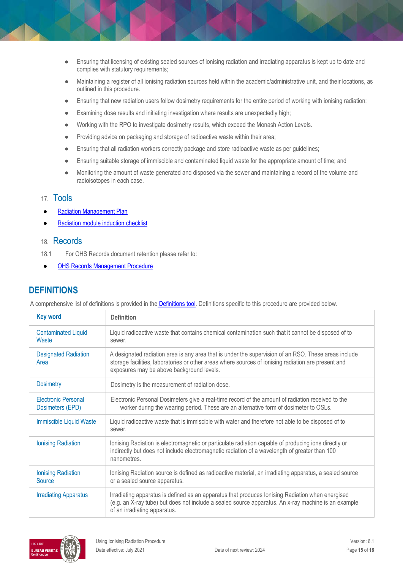- Ensuring that licensing of existing sealed sources of ionising radiation and irradiating apparatus is kept up to date and complies with statutory requirements;
- Maintaining a register of all ionising radiation sources held within the academic/administrative unit, and their locations, as outlined in this procedure.
- Ensuring that new radiation users follow dosimetry requirements for the entire period of working with ionising radiation;
- Examining dose results and initiating investigation where results are unexpectedly high;
- Working with the RPO to investigate dosimetry results, which exceed the Monash Action Levels.
- Providing advice on packaging and storage of radioactive waste within their area;
- Ensuring that all radiation workers correctly package and store radioactive waste as per guidelines;
- Ensuring suitable storage of immiscible and contaminated liquid waste for the appropriate amount of time; and
- Monitoring the amount of waste generated and disposed via the sewer and maintaining a record of the volume and radioisotopes in each case.

### 17. Tools

- **[Radiation Management Plan](https://www.monash.edu/__data/assets/word_doc/0011/1097984/radiation-plan.docx)**
- [Radiation module induction checklist](https://www.monash.edu/__data/assets/word_doc/0016/122902/induct-radiation-module.docx)

### 18. Records

- 18.1 For OHS Records document retention please refer to:
- **[OHS Records Management Procedure](https://publicpolicydms.monash.edu/Monash/documents/1935642)**

# **DEFINITIONS**

A comprehensive list of definitions is provided in the [Definitions tool.](http://www.monash.edu/__data/assets/pdf_file/0018/113742/ohs-document-definitions.pdf) Definitions specific to this procedure are provided below.

| <b>Key word</b>                                | <b>Definition</b>                                                                                                                                                                                                                                        |
|------------------------------------------------|----------------------------------------------------------------------------------------------------------------------------------------------------------------------------------------------------------------------------------------------------------|
| <b>Contaminated Liquid</b><br>Waste            | Liquid radioactive waste that contains chemical contamination such that it cannot be disposed of to<br>sewer.                                                                                                                                            |
| <b>Designated Radiation</b><br>Area            | A designated radiation area is any area that is under the supervision of an RSO. These areas include<br>storage facilities, laboratories or other areas where sources of ionising radiation are present and<br>exposures may be above background levels. |
| <b>Dosimetry</b>                               | Dosimetry is the measurement of radiation dose.                                                                                                                                                                                                          |
| <b>Electronic Personal</b><br>Dosimeters (EPD) | Electronic Personal Dosimeters give a real-time record of the amount of radiation received to the<br>worker during the wearing period. These are an alternative form of dosimeter to OSLs.                                                               |
| <b>Immiscible Liquid Waste</b>                 | Liquid radioactive waste that is immiscible with water and therefore not able to be disposed of to<br>sewer.                                                                                                                                             |
| <b>Ionising Radiation</b>                      | lonising Radiation is electromagnetic or particulate radiation capable of producing ions directly or<br>indirectly but does not include electromagnetic radiation of a wavelength of greater than 100<br>nanometres.                                     |
| <b>Ionising Radiation</b><br>Source            | lonising Radiation source is defined as radioactive material, an irradiating apparatus, a sealed source<br>or a sealed source apparatus.                                                                                                                 |
| <b>Irradiating Apparatus</b>                   | Irradiating apparatus is defined as an apparatus that produces lonising Radiation when energised<br>(e.g. an X-ray tube) but does not include a sealed source apparatus. An x-ray machine is an example<br>of an irradiating apparatus.                  |

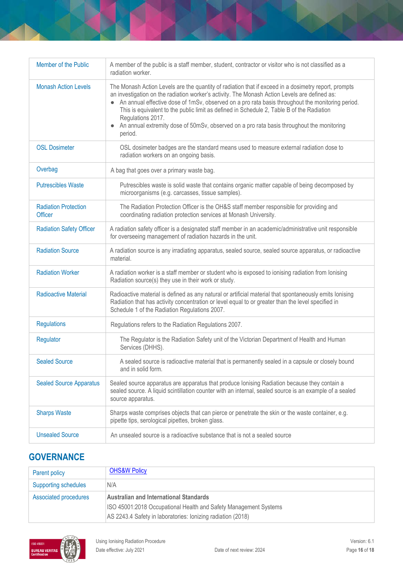| Member of the Public                          | A member of the public is a staff member, student, contractor or visitor who is not classified as a<br>radiation worker.                                                                                                                                                                                                                                                                                                                                                                                                              |
|-----------------------------------------------|---------------------------------------------------------------------------------------------------------------------------------------------------------------------------------------------------------------------------------------------------------------------------------------------------------------------------------------------------------------------------------------------------------------------------------------------------------------------------------------------------------------------------------------|
| <b>Monash Action Levels</b>                   | The Monash Action Levels are the quantity of radiation that if exceed in a dosimetry report, prompts<br>an investigation on the radiation worker's activity. The Monash Action Levels are defined as:<br>• An annual effective dose of 1mSv, observed on a pro rata basis throughout the monitoring period.<br>This is equivalent to the public limit as defined in Schedule 2, Table B of the Radiation<br>Regulations 2017.<br>An annual extremity dose of 50mSv, observed on a pro rata basis throughout the monitoring<br>period. |
| <b>OSL Dosimeter</b>                          | OSL dosimeter badges are the standard means used to measure external radiation dose to<br>radiation workers on an ongoing basis.                                                                                                                                                                                                                                                                                                                                                                                                      |
| Overbag                                       | A bag that goes over a primary waste bag.                                                                                                                                                                                                                                                                                                                                                                                                                                                                                             |
| <b>Putrescibles Waste</b>                     | Putrescibles waste is solid waste that contains organic matter capable of being decomposed by<br>microorganisms (e.g. carcasses, tissue samples).                                                                                                                                                                                                                                                                                                                                                                                     |
| <b>Radiation Protection</b><br><b>Officer</b> | The Radiation Protection Officer is the OH&S staff member responsible for providing and<br>coordinating radiation protection services at Monash University.                                                                                                                                                                                                                                                                                                                                                                           |
| <b>Radiation Safety Officer</b>               | A radiation safety officer is a designated staff member in an academic/administrative unit responsible<br>for overseeing management of radiation hazards in the unit.                                                                                                                                                                                                                                                                                                                                                                 |
| <b>Radiation Source</b>                       | A radiation source is any irradiating apparatus, sealed source, sealed source apparatus, or radioactive<br>material.                                                                                                                                                                                                                                                                                                                                                                                                                  |
| <b>Radiation Worker</b>                       | A radiation worker is a staff member or student who is exposed to ionising radiation from lonising<br>Radiation source(s) they use in their work or study.                                                                                                                                                                                                                                                                                                                                                                            |
| <b>Radioactive Material</b>                   | Radioactive material is defined as any natural or artificial material that spontaneously emits lonising<br>Radiation that has activity concentration or level equal to or greater than the level specified in<br>Schedule 1 of the Radiation Regulations 2007.                                                                                                                                                                                                                                                                        |
| <b>Regulations</b>                            | Regulations refers to the Radiation Regulations 2007.                                                                                                                                                                                                                                                                                                                                                                                                                                                                                 |
| Regulator                                     | The Regulator is the Radiation Safety unit of the Victorian Department of Health and Human<br>Services (DHHS).                                                                                                                                                                                                                                                                                                                                                                                                                        |
| <b>Sealed Source</b>                          | A sealed source is radioactive material that is permanently sealed in a capsule or closely bound<br>and in solid form.                                                                                                                                                                                                                                                                                                                                                                                                                |
| <b>Sealed Source Apparatus</b>                | Sealed source apparatus are apparatus that produce lonising Radiation because they contain a<br>sealed source. A liquid scintillation counter with an internal, sealed source is an example of a sealed<br>source apparatus.                                                                                                                                                                                                                                                                                                          |
| <b>Sharps Waste</b>                           | Sharps waste comprises objects that can pierce or penetrate the skin or the waste container, e.g.<br>pipette tips, serological pipettes, broken glass.                                                                                                                                                                                                                                                                                                                                                                                |
| <b>Unsealed Source</b>                        | An unsealed source is a radioactive substance that is not a sealed source                                                                                                                                                                                                                                                                                                                                                                                                                                                             |

# **GOVERNANCE**

| Parent policy               | <b>OHS&amp;W Policy</b>                                          |
|-----------------------------|------------------------------------------------------------------|
| <b>Supporting schedules</b> | N/A                                                              |
| Associated procedures       | <b>Australian and International Standards</b>                    |
|                             | ISO 45001:2018 Occupational Health and Safety Management Systems |
|                             | AS 2243.4 Safety in laboratories: lonizing radiation (2018)      |

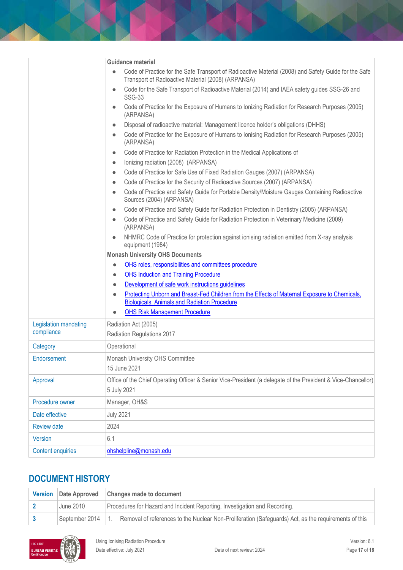|                          | Guidance material                                                                                                                      |
|--------------------------|----------------------------------------------------------------------------------------------------------------------------------------|
|                          | Code of Practice for the Safe Transport of Radioactive Material (2008) and Safety Guide for the Safe<br>$\bullet$                      |
|                          | Transport of Radioactive Material (2008) (ARPANSA)                                                                                     |
|                          | Code for the Safe Transport of Radioactive Material (2014) and IAEA safety guides SSG-26 and<br>$\bullet$<br><b>SSG-33</b>             |
|                          | Code of Practice for the Exposure of Humans to Ionizing Radiation for Research Purposes (2005)<br>$\bullet$<br>(ARPANSA)               |
|                          | Disposal of radioactive material: Management licence holder's obligations (DHHS)<br>$\bullet$                                          |
|                          | Code of Practice for the Exposure of Humans to Ionising Radiation for Research Purposes (2005)<br>$\bullet$<br>(ARPANSA)               |
|                          | Code of Practice for Radiation Protection in the Medical Applications of<br>$\bullet$                                                  |
|                          | Ionizing radiation (2008) (ARPANSA)<br>$\bullet$                                                                                       |
|                          | Code of Practice for Safe Use of Fixed Radiation Gauges (2007) (ARPANSA)<br>$\bullet$                                                  |
|                          | Code of Practice for the Security of Radioactive Sources (2007) (ARPANSA)<br>$\bullet$                                                 |
|                          | Code of Practice and Safety Guide for Portable Density/Moisture Gauges Containing Radioactive<br>$\bullet$<br>Sources (2004) (ARPANSA) |
|                          | Code of Practice and Safety Guide for Radiation Protection in Dentistry (2005) (ARPANSA)<br>$\bullet$                                  |
|                          | Code of Practice and Safety Guide for Radiation Protection in Veterinary Medicine (2009)<br>$\bullet$<br>(ARPANSA)                     |
|                          | NHMRC Code of Practice for protection against ionising radiation emitted from X-ray analysis<br>$\bullet$<br>equipment (1984)          |
|                          | <b>Monash University OHS Documents</b>                                                                                                 |
|                          | OHS roles, responsibilities and committees procedure<br>$\bullet$                                                                      |
|                          | <b>OHS Induction and Training Procedure</b><br>$\bullet$                                                                               |
|                          | Development of safe work instructions guidelines<br>$\bullet$                                                                          |
|                          | Protecting Unborn and Breast-Fed Children from the Effects of Maternal Exposure to Chemicals,<br>$\bullet$                             |
|                          | <b>Biologicals, Animals and Radiation Procedure</b>                                                                                    |
|                          | <b>OHS Risk Management Procedure</b><br>$\bullet$                                                                                      |
| Legislation mandating    | Radiation Act (2005)                                                                                                                   |
| compliance               | Radiation Regulations 2017                                                                                                             |
| Category                 | Operational                                                                                                                            |
| Endorsement              | Monash University OHS Committee                                                                                                        |
|                          | 15 June 2021                                                                                                                           |
| Approval                 | Office of the Chief Operating Officer & Senior Vice-President (a delegate of the President & Vice-Chancellor)                          |
|                          | 5 July 2021                                                                                                                            |
| Procedure owner          | Manager, OH&S                                                                                                                          |
| Date effective           | <b>July 2021</b>                                                                                                                       |
| <b>Review date</b>       | 2024                                                                                                                                   |
| <b>Version</b>           | 6.1                                                                                                                                    |
|                          |                                                                                                                                        |
| <b>Content enquiries</b> | ohshelpline@monash.edu                                                                                                                 |

# **DOCUMENT HISTORY**

|                | Version Date Approved Changes made to document                                                       |  |  |
|----------------|------------------------------------------------------------------------------------------------------|--|--|
| June 2010      | Procedures for Hazard and Incident Reporting, Investigation and Recording.                           |  |  |
| September 2014 | Removal of references to the Nuclear Non-Proliferation (Safeguards) Act, as the requirements of this |  |  |